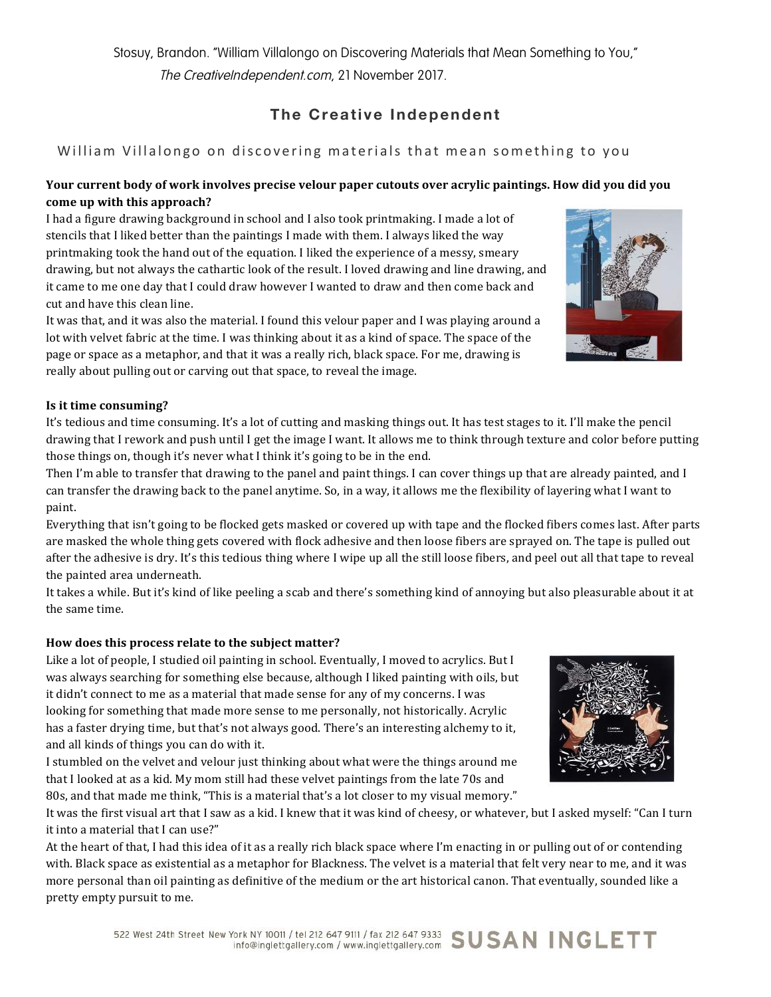# **The Creative Independent**

# William Villalongo on discovering materials that mean something to you

# **Your current body of work involves precise velour paper cutouts over acrylic paintings. How did you did you** come up with this approach?

I had a figure drawing background in school and I also took printmaking. I made a lot of stencils that I liked better than the paintings I made with them. I always liked the way printmaking took the hand out of the equation. I liked the experience of a messy, smeary drawing, but not always the cathartic look of the result. I loved drawing and line drawing, and it came to me one day that I could draw however I wanted to draw and then come back and cut and have this clean line.

It was that, and it was also the material. I found this velour paper and I was playing around a lot with velvet fabric at the time. I was thinking about it as a kind of space. The space of the page or space as a metaphor, and that it was a really rich, black space. For me, drawing is really about pulling out or carving out that space, to reveal the image.

## **Is it time consuming?**

It's tedious and time consuming. It's a lot of cutting and masking things out. It has test stages to it. I'll make the pencil drawing that I rework and push until I get the image I want. It allows me to think through texture and color before putting those things on, though it's never what I think it's going to be in the end.

Then I'm able to transfer that drawing to the panel and paint things. I can cover things up that are already painted, and I can transfer the drawing back to the panel anytime. So, in a way, it allows me the flexibility of layering what I want to paint.

Everything that isn't going to be flocked gets masked or covered up with tape and the flocked fibers comes last. After parts are masked the whole thing gets covered with flock adhesive and then loose fibers are sprayed on. The tape is pulled out after the adhesive is dry. It's this tedious thing where I wipe up all the still loose fibers, and peel out all that tape to reveal the painted area underneath.

It takes a while. But it's kind of like peeling a scab and there's something kind of annoying but also pleasurable about it at the same time.

## How does this process relate to the subject matter?

Like a lot of people, I studied oil painting in school. Eventually, I moved to acrylics. But I was always searching for something else because, although I liked painting with oils, but it didn't connect to me as a material that made sense for any of my concerns. I was looking for something that made more sense to me personally, not historically. Acrylic has a faster drying time, but that's not always good. There's an interesting alchemy to it, and all kinds of things you can do with it.

I stumbled on the velvet and velour just thinking about what were the things around me that I looked at as a kid. My mom still had these velvet paintings from the late 70s and 80s, and that made me think, "This is a material that's a lot closer to my visual memory."

It was the first visual art that I saw as a kid. I knew that it was kind of cheesy, or whatever, but I asked myself: "Can I turn it into a material that I can use?"

At the heart of that, I had this idea of it as a really rich black space where I'm enacting in or pulling out of or contending with. Black space as existential as a metaphor for Blackness. The velvet is a material that felt very near to me, and it was more personal than oil painting as definitive of the medium or the art historical canon. That eventually, sounded like a pretty empty pursuit to me.



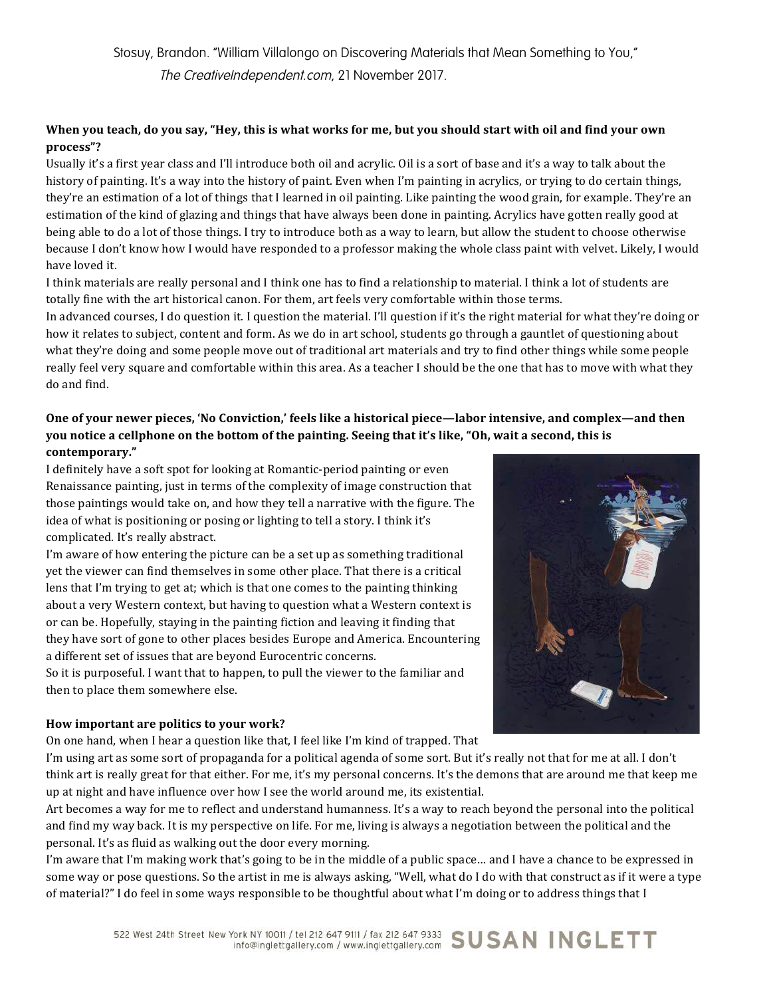# When you teach, do you say, "Hey, this is what works for me, but you should start with oil and find your own **process"?**

Usually it's a first year class and I'll introduce both oil and acrylic. Oil is a sort of base and it's a way to talk about the history of painting. It's a way into the history of paint. Even when I'm painting in acrylics, or trying to do certain things, they're an estimation of a lot of things that I learned in oil painting. Like painting the wood grain, for example. They're an estimation of the kind of glazing and things that have always been done in painting. Acrylics have gotten really good at being able to do a lot of those things. I try to introduce both as a way to learn, but allow the student to choose otherwise because I don't know how I would have responded to a professor making the whole class paint with velvet. Likely, I would have loved it.

I think materials are really personal and I think one has to find a relationship to material. I think a lot of students are totally fine with the art historical canon. For them, art feels very comfortable within those terms.

In advanced courses, I do question it. I question the material. I'll question if it's the right material for what they're doing or how it relates to subject, content and form. As we do in art school, students go through a gauntlet of questioning about what they're doing and some people move out of traditional art materials and try to find other things while some people really feel very square and comfortable within this area. As a teacher I should be the one that has to move with what they do and find.

# One of your newer pieces, 'No Conviction,' feels like a historical piece—labor intensive, and complex—and then you notice a cellphone on the bottom of the painting. Seeing that it's like, "Oh, wait a second, this is **contemporary."**

I definitely have a soft spot for looking at Romantic-period painting or even Renaissance painting, just in terms of the complexity of image construction that those paintings would take on, and how they tell a narrative with the figure. The idea of what is positioning or posing or lighting to tell a story. I think it's complicated. It's really abstract.

I'm aware of how entering the picture can be a set up as something traditional yet the viewer can find themselves in some other place. That there is a critical lens that I'm trying to get at; which is that one comes to the painting thinking about a very Western context, but having to question what a Western context is or can be. Hopefully, staying in the painting fiction and leaving it finding that they have sort of gone to other places besides Europe and America. Encountering a different set of issues that are beyond Eurocentric concerns.

So it is purposeful. I want that to happen, to pull the viewer to the familiar and then to place them somewhere else.

## How important are politics to your work?

On one hand, when I hear a question like that, I feel like I'm kind of trapped. That



I'm using art as some sort of propaganda for a political agenda of some sort. But it's really not that for me at all. I don't think art is really great for that either. For me, it's my personal concerns. It's the demons that are around me that keep me up at night and have influence over how I see the world around me, its existential.

Art becomes a way for me to reflect and understand humanness. It's a way to reach beyond the personal into the political and find my way back. It is my perspective on life. For me, living is always a negotiation between the political and the personal. It's as fluid as walking out the door every morning.

I'm aware that I'm making work that's going to be in the middle of a public space... and I have a chance to be expressed in some way or pose questions. So the artist in me is always asking, "Well, what do I do with that construct as if it were a type of material?" I do feel in some ways responsible to be thoughtful about what I'm doing or to address things that I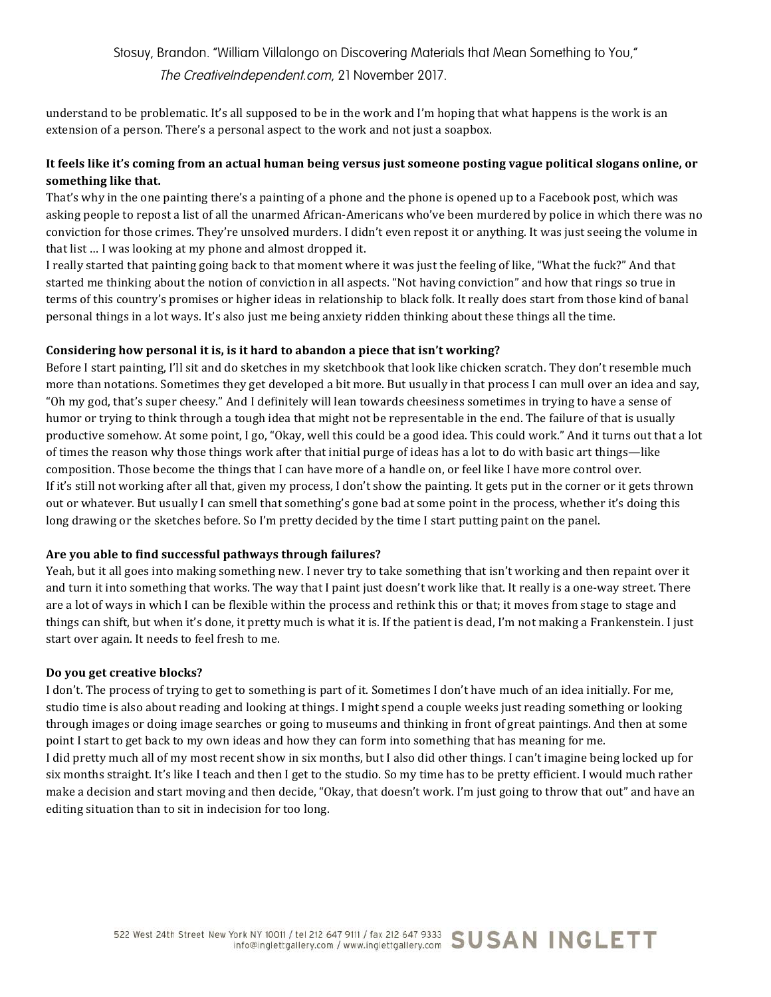understand to be problematic. It's all supposed to be in the work and I'm hoping that what happens is the work is an extension of a person. There's a personal aspect to the work and not just a soapbox.

# It feels like it's coming from an actual human being versus just someone posting vague political slogans online, or something like that.

That's why in the one painting there's a painting of a phone and the phone is opened up to a Facebook post, which was asking people to repost a list of all the unarmed African-Americans who've been murdered by police in which there was no conviction for those crimes. They're unsolved murders. I didn't even repost it or anything. It was just seeing the volume in that list ... I was looking at my phone and almost dropped it.

I really started that painting going back to that moment where it was just the feeling of like, "What the fuck?" And that started me thinking about the notion of conviction in all aspects. "Not having conviction" and how that rings so true in terms of this country's promises or higher ideas in relationship to black folk. It really does start from those kind of banal personal things in a lot ways. It's also just me being anxiety ridden thinking about these things all the time.

## **Considering how personal it is, is it hard to abandon a piece that isn't working?**

Before I start painting, I'll sit and do sketches in my sketchbook that look like chicken scratch. They don't resemble much more than notations. Sometimes they get developed a bit more. But usually in that process I can mull over an idea and say, "Oh my god, that's super cheesy." And I definitely will lean towards cheesiness sometimes in trying to have a sense of humor or trying to think through a tough idea that might not be representable in the end. The failure of that is usually productive somehow. At some point, I go, "Okay, well this could be a good idea. This could work." And it turns out that a lot of times the reason why those things work after that initial purge of ideas has a lot to do with basic art things—like composition. Those become the things that I can have more of a handle on, or feel like I have more control over. If it's still not working after all that, given my process, I don't show the painting. It gets put in the corner or it gets thrown out or whatever. But usually I can smell that something's gone bad at some point in the process, whether it's doing this long drawing or the sketches before. So I'm pretty decided by the time I start putting paint on the panel.

### Are you able to find successful pathways through failures?

Yeah, but it all goes into making something new. I never try to take something that isn't working and then repaint over it and turn it into something that works. The way that I paint just doesn't work like that. It really is a one-way street. There are a lot of ways in which I can be flexible within the process and rethink this or that; it moves from stage to stage and things can shift, but when it's done, it pretty much is what it is. If the patient is dead, I'm not making a Frankenstein. I just start over again. It needs to feel fresh to me.

### **Do you get creative blocks?**

I don't. The process of trying to get to something is part of it. Sometimes I don't have much of an idea initially. For me, studio time is also about reading and looking at things. I might spend a couple weeks just reading something or looking through images or doing image searches or going to museums and thinking in front of great paintings. And then at some point I start to get back to my own ideas and how they can form into something that has meaning for me. I did pretty much all of my most recent show in six months, but I also did other things. I can't imagine being locked up for six months straight. It's like I teach and then I get to the studio. So my time has to be pretty efficient. I would much rather make a decision and start moving and then decide, "Okay, that doesn't work. I'm just going to throw that out" and have an editing situation than to sit in indecision for too long.